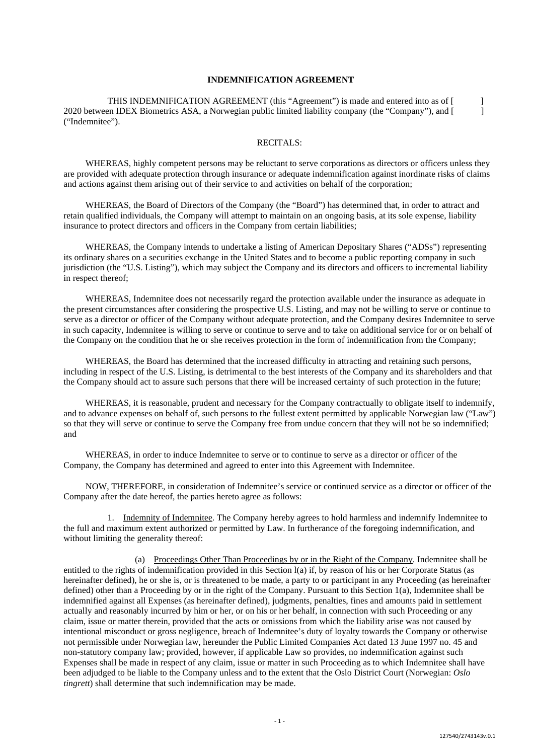#### **INDEMNIFICATION AGREEMENT**

THIS INDEMNIFICATION AGREEMENT (this "Agreement") is made and entered into as of [ ] 2020 between IDEX Biometrics ASA, a Norwegian public limited liability company (the "Company"), and [ ] ("Indemnitee").

## RECITALS:

WHEREAS, highly competent persons may be reluctant to serve corporations as directors or officers unless they are provided with adequate protection through insurance or adequate indemnification against inordinate risks of claims and actions against them arising out of their service to and activities on behalf of the corporation;

WHEREAS, the Board of Directors of the Company (the "Board") has determined that, in order to attract and retain qualified individuals, the Company will attempt to maintain on an ongoing basis, at its sole expense, liability insurance to protect directors and officers in the Company from certain liabilities;

WHEREAS, the Company intends to undertake a listing of American Depositary Shares ("ADSs") representing its ordinary shares on a securities exchange in the United States and to become a public reporting company in such jurisdiction (the "U.S. Listing"), which may subject the Company and its directors and officers to incremental liability in respect thereof;

WHEREAS, Indemnitee does not necessarily regard the protection available under the insurance as adequate in the present circumstances after considering the prospective U.S. Listing, and may not be willing to serve or continue to serve as a director or officer of the Company without adequate protection, and the Company desires Indemnitee to serve in such capacity, Indemnitee is willing to serve or continue to serve and to take on additional service for or on behalf of the Company on the condition that he or she receives protection in the form of indemnification from the Company;

WHEREAS, the Board has determined that the increased difficulty in attracting and retaining such persons, including in respect of the U.S. Listing, is detrimental to the best interests of the Company and its shareholders and that the Company should act to assure such persons that there will be increased certainty of such protection in the future;

WHEREAS, it is reasonable, prudent and necessary for the Company contractually to obligate itself to indemnify, and to advance expenses on behalf of, such persons to the fullest extent permitted by applicable Norwegian law ("Law") so that they will serve or continue to serve the Company free from undue concern that they will not be so indemnified; and

WHEREAS, in order to induce Indemnitee to serve or to continue to serve as a director or officer of the Company, the Company has determined and agreed to enter into this Agreement with Indemnitee.

NOW, THEREFORE, in consideration of Indemnitee's service or continued service as a director or officer of the Company after the date hereof, the parties hereto agree as follows:

1. Indemnity of Indemnitee. The Company hereby agrees to hold harmless and indemnify Indemnitee to the full and maximum extent authorized or permitted by Law. In furtherance of the foregoing indemnification, and without limiting the generality thereof:

(a) Proceedings Other Than Proceedings by or in the Right of the Company. Indemnitee shall be entitled to the rights of indemnification provided in this Section l(a) if, by reason of his or her Corporate Status (as hereinafter defined), he or she is, or is threatened to be made, a party to or participant in any Proceeding (as hereinafter defined) other than a Proceeding by or in the right of the Company. Pursuant to this Section 1(a), Indemnitee shall be indemnified against all Expenses (as hereinafter defined), judgments, penalties, fines and amounts paid in settlement actually and reasonably incurred by him or her, or on his or her behalf, in connection with such Proceeding or any claim, issue or matter therein, provided that the acts or omissions from which the liability arise was not caused by intentional misconduct or gross negligence, breach of Indemnitee's duty of loyalty towards the Company or otherwise not permissible under Norwegian law, hereunder the Public Limited Companies Act dated 13 June 1997 no. 45 and non-statutory company law; provided, however, if applicable Law so provides, no indemnification against such Expenses shall be made in respect of any claim, issue or matter in such Proceeding as to which Indemnitee shall have been adjudged to be liable to the Company unless and to the extent that the Oslo District Court (Norwegian: *Oslo tingrett*) shall determine that such indemnification may be made.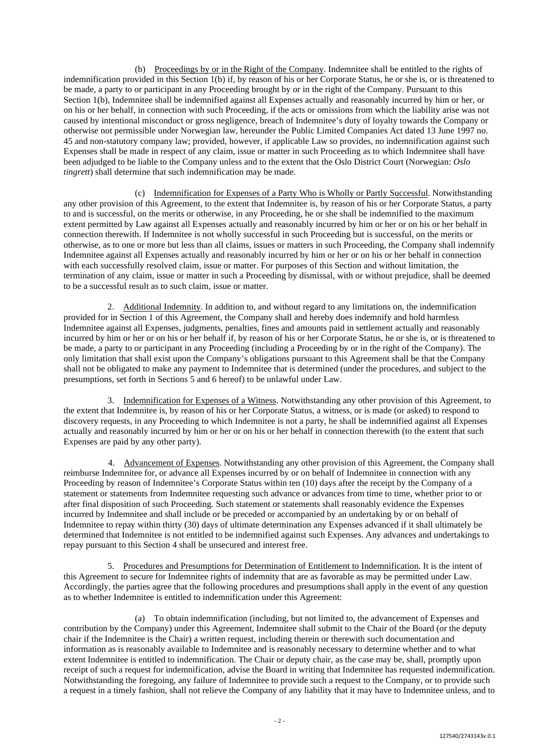(b) Proceedings by or in the Right of the Company. Indemnitee shall be entitled to the rights of indemnification provided in this Section 1(b) if, by reason of his or her Corporate Status, he or she is, or is threatened to be made, a party to or participant in any Proceeding brought by or in the right of the Company. Pursuant to this Section 1(b), Indemnitee shall be indemnified against all Expenses actually and reasonably incurred by him or her, or on his or her behalf, in connection with such Proceeding, if the acts or omissions from which the liability arise was not caused by intentional misconduct or gross negligence, breach of Indemnitee's duty of loyalty towards the Company or otherwise not permissible under Norwegian law, hereunder the Public Limited Companies Act dated 13 June 1997 no. 45 and non-statutory company law; provided, however, if applicable Law so provides, no indemnification against such Expenses shall be made in respect of any claim, issue or matter in such Proceeding as to which Indemnitee shall have been adjudged to be liable to the Company unless and to the extent that the Oslo District Court (Norwegian: *Oslo tingrett*) shall determine that such indemnification may be made.

(c) Indemnification for Expenses of a Party Who is Wholly or Partly Successful. Notwithstanding any other provision of this Agreement, to the extent that Indemnitee is, by reason of his or her Corporate Status, a party to and is successful, on the merits or otherwise, in any Proceeding, he or she shall be indemnified to the maximum extent permitted by Law against all Expenses actually and reasonably incurred by him or her or on his or her behalf in connection therewith. If Indemnitee is not wholly successful in such Proceeding but is successful, on the merits or otherwise, as to one or more but less than all claims, issues or matters in such Proceeding, the Company shall indemnify Indemnitee against all Expenses actually and reasonably incurred by him or her or on his or her behalf in connection with each successfully resolved claim, issue or matter. For purposes of this Section and without limitation, the termination of any claim, issue or matter in such a Proceeding by dismissal, with or without prejudice, shall be deemed to be a successful result as to such claim, issue or matter.

2. Additional Indemnity. In addition to, and without regard to any limitations on, the indemnification provided for in Section 1 of this Agreement, the Company shall and hereby does indemnify and hold harmless Indemnitee against all Expenses, judgments, penalties, fines and amounts paid in settlement actually and reasonably incurred by him or her or on his or her behalf if, by reason of his or her Corporate Status, he or she is, or is threatened to be made, a party to or participant in any Proceeding (including a Proceeding by or in the right of the Company). The only limitation that shall exist upon the Company's obligations pursuant to this Agreement shall be that the Company shall not be obligated to make any payment to Indemnitee that is determined (under the procedures, and subject to the presumptions, set forth in Sections 5 and 6 hereof) to be unlawful under Law.

3. Indemnification for Expenses of a Witness. Notwithstanding any other provision of this Agreement, to the extent that Indemnitee is, by reason of his or her Corporate Status, a witness, or is made (or asked) to respond to discovery requests, in any Proceeding to which Indemnitee is not a party, he shall be indemnified against all Expenses actually and reasonably incurred by him or her or on his or her behalf in connection therewith (to the extent that such Expenses are paid by any other party).

4. Advancement of Expenses. Notwithstanding any other provision of this Agreement, the Company shall reimburse Indemnitee for, or advance all Expenses incurred by or on behalf of Indemnitee in connection with any Proceeding by reason of Indemnitee's Corporate Status within ten (10) days after the receipt by the Company of a statement or statements from Indemnitee requesting such advance or advances from time to time, whether prior to or after final disposition of such Proceeding. Such statement or statements shall reasonably evidence the Expenses incurred by Indemnitee and shall include or be preceded or accompanied by an undertaking by or on behalf of Indemnitee to repay within thirty (30) days of ultimate determination any Expenses advanced if it shall ultimately be determined that Indemnitee is not entitled to be indemnified against such Expenses. Any advances and undertakings to repay pursuant to this Section 4 shall be unsecured and interest free.

5. Procedures and Presumptions for Determination of Entitlement to Indemnification. It is the intent of this Agreement to secure for Indemnitee rights of indemnity that are as favorable as may be permitted under Law. Accordingly, the parties agree that the following procedures and presumptions shall apply in the event of any question as to whether Indemnitee is entitled to indemnification under this Agreement:

(a) To obtain indemnification (including, but not limited to, the advancement of Expenses and contribution by the Company) under this Agreement, Indemnitee shall submit to the Chair of the Board (or the deputy chair if the Indemnitee is the Chair) a written request, including therein or therewith such documentation and information as is reasonably available to Indemnitee and is reasonably necessary to determine whether and to what extent Indemnitee is entitled to indemnification. The Chair or deputy chair, as the case may be, shall, promptly upon receipt of such a request for indemnification, advise the Board in writing that Indemnitee has requested indemnification. Notwithstanding the foregoing, any failure of Indemnitee to provide such a request to the Company, or to provide such a request in a timely fashion, shall not relieve the Company of any liability that it may have to Indemnitee unless, and to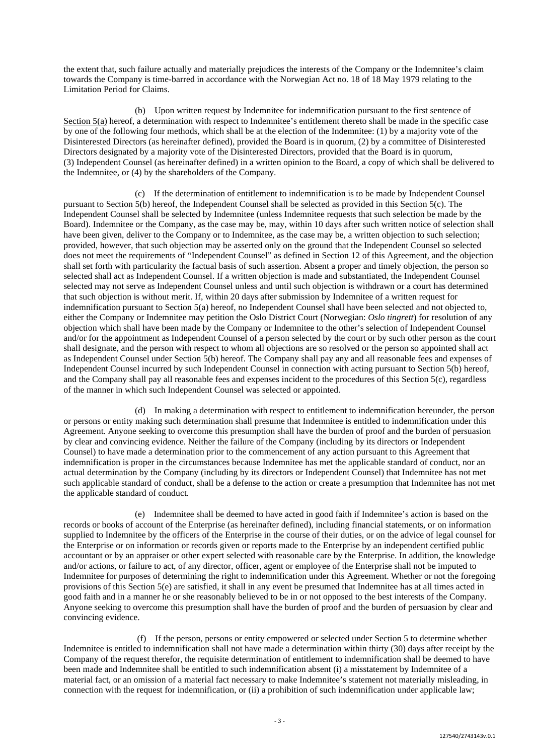the extent that, such failure actually and materially prejudices the interests of the Company or the Indemnitee's claim towards the Company is time-barred in accordance with the Norwegian Act no. 18 of 18 May 1979 relating to the Limitation Period for Claims.

(b) Upon written request by Indemnitee for indemnification pursuant to the first sentence of Section 5(a) hereof, a determination with respect to Indemnitee's entitlement thereto shall be made in the specific case by one of the following four methods, which shall be at the election of the Indemnitee: (1) by a majority vote of the Disinterested Directors (as hereinafter defined), provided the Board is in quorum, (2) by a committee of Disinterested Directors designated by a majority vote of the Disinterested Directors, provided that the Board is in quorum, (3) Independent Counsel (as hereinafter defined) in a written opinion to the Board, a copy of which shall be delivered to the Indemnitee, or (4) by the shareholders of the Company.

(c) If the determination of entitlement to indemnification is to be made by Independent Counsel pursuant to Section 5(b) hereof, the Independent Counsel shall be selected as provided in this Section 5(c). The Independent Counsel shall be selected by Indemnitee (unless Indemnitee requests that such selection be made by the Board). Indemnitee or the Company, as the case may be, may, within 10 days after such written notice of selection shall have been given, deliver to the Company or to Indemnitee, as the case may be, a written objection to such selection; provided, however, that such objection may be asserted only on the ground that the Independent Counsel so selected does not meet the requirements of "Independent Counsel" as defined in Section 12 of this Agreement, and the objection shall set forth with particularity the factual basis of such assertion. Absent a proper and timely objection, the person so selected shall act as Independent Counsel. If a written objection is made and substantiated, the Independent Counsel selected may not serve as Independent Counsel unless and until such objection is withdrawn or a court has determined that such objection is without merit. If, within 20 days after submission by Indemnitee of a written request for indemnification pursuant to Section 5(a) hereof, no Independent Counsel shall have been selected and not objected to, either the Company or Indemnitee may petition the Oslo District Court (Norwegian: *Oslo tingrett*) for resolution of any objection which shall have been made by the Company or Indemnitee to the other's selection of Independent Counsel and/or for the appointment as Independent Counsel of a person selected by the court or by such other person as the court shall designate, and the person with respect to whom all objections are so resolved or the person so appointed shall act as Independent Counsel under Section  $\tilde{5}$ (b) hereof. The Company shall pay any and all reasonable fees and expenses of Independent Counsel incurred by such Independent Counsel in connection with acting pursuant to Section 5(b) hereof, and the Company shall pay all reasonable fees and expenses incident to the procedures of this Section 5(c), regardless of the manner in which such Independent Counsel was selected or appointed.

(d) In making a determination with respect to entitlement to indemnification hereunder, the person or persons or entity making such determination shall presume that Indemnitee is entitled to indemnification under this Agreement. Anyone seeking to overcome this presumption shall have the burden of proof and the burden of persuasion by clear and convincing evidence. Neither the failure of the Company (including by its directors or Independent Counsel) to have made a determination prior to the commencement of any action pursuant to this Agreement that indemnification is proper in the circumstances because Indemnitee has met the applicable standard of conduct, nor an actual determination by the Company (including by its directors or Independent Counsel) that Indemnitee has not met such applicable standard of conduct, shall be a defense to the action or create a presumption that Indemnitee has not met the applicable standard of conduct.

(e) Indemnitee shall be deemed to have acted in good faith if Indemnitee's action is based on the records or books of account of the Enterprise (as hereinafter defined), including financial statements, or on information supplied to Indemnitee by the officers of the Enterprise in the course of their duties, or on the advice of legal counsel for the Enterprise or on information or records given or reports made to the Enterprise by an independent certified public accountant or by an appraiser or other expert selected with reasonable care by the Enterprise. In addition, the knowledge and/or actions, or failure to act, of any director, officer, agent or employee of the Enterprise shall not be imputed to Indemnitee for purposes of determining the right to indemnification under this Agreement. Whether or not the foregoing provisions of this Section 5(e) are satisfied, it shall in any event be presumed that Indemnitee has at all times acted in good faith and in a manner he or she reasonably believed to be in or not opposed to the best interests of the Company. Anyone seeking to overcome this presumption shall have the burden of proof and the burden of persuasion by clear and convincing evidence.

(f) If the person, persons or entity empowered or selected under Section 5 to determine whether Indemnitee is entitled to indemnification shall not have made a determination within thirty (30) days after receipt by the Company of the request therefor, the requisite determination of entitlement to indemnification shall be deemed to have been made and Indemnitee shall be entitled to such indemnification absent (i) a misstatement by Indemnitee of a material fact, or an omission of a material fact necessary to make Indemnitee's statement not materially misleading, in connection with the request for indemnification, or (ii) a prohibition of such indemnification under applicable law;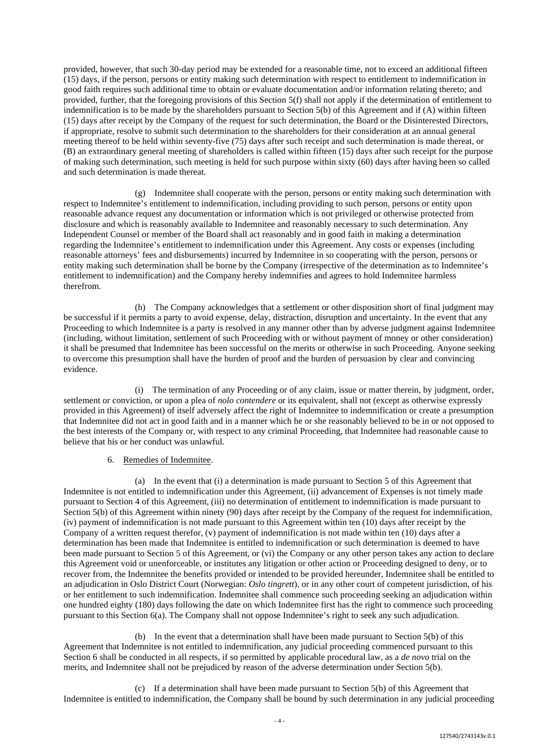provided, however, that such 30-day period may be extended for a reasonable time, not to exceed an additional fifteen (15) days, if the person, persons or entity making such determination with respect to entitlement to indemnification in good faith requires such additional time to obtain or evaluate documentation and/or information relating thereto; and provided, further, that the foregoing provisions of this Section 5(f) shall not apply if the determination of entitlement to indemnification is to be made by the shareholders pursuant to Section  $5(b)$  of this Agreement and if (A) within fifteen (15) days after receipt by the Company of the request for such determination, the Board or the Disinterested Directors, if appropriate, resolve to submit such determination to the shareholders for their consideration at an annual general meeting thereof to be held within seventy-five (75) days after such receipt and such determination is made thereat, or (B) an extraordinary general meeting of shareholders is called within fifteen (15) days after such receipt for the purpose of making such determination, such meeting is held for such purpose within sixty (60) days after having been so called and such determination is made thereat.

(g) Indemnitee shall cooperate with the person, persons or entity making such determination with respect to Indemnitee's entitlement to indemnification, including providing to such person, persons or entity upon reasonable advance request any documentation or information which is not privileged or otherwise protected from disclosure and which is reasonably available to Indemnitee and reasonably necessary to such determination. Any Independent Counsel or member of the Board shall act reasonably and in good faith in making a determination regarding the Indemnitee's entitlement to indemnification under this Agreement. Any costs or expenses (including reasonable attorneys' fees and disbursements) incurred by Indemnitee in so cooperating with the person, persons or entity making such determination shall be borne by the Company (irrespective of the determination as to Indemnitee's entitlement to indemnification) and the Company hereby indemnifies and agrees to hold Indemnitee harmless therefrom.

(h) The Company acknowledges that a settlement or other disposition short of final judgment may be successful if it permits a party to avoid expense, delay, distraction, disruption and uncertainty. In the event that any Proceeding to which Indemnitee is a party is resolved in any manner other than by adverse judgment against Indemnitee (including, without limitation, settlement of such Proceeding with or without payment of money or other consideration) it shall be presumed that Indemnitee has been successful on the merits or otherwise in such Proceeding. Anyone seeking to overcome this presumption shall have the burden of proof and the burden of persuasion by clear and convincing evidence.

(i) The termination of any Proceeding or of any claim, issue or matter therein, by judgment, order, settlement or conviction, or upon a plea of *nolo contendere* or its equivalent, shall not (except as otherwise expressly provided in this Agreement) of itself adversely affect the right of Indemnitee to indemnification or create a presumption that Indemnitee did not act in good faith and in a manner which he or she reasonably believed to be in or not opposed to the best interests of the Company or, with respect to any criminal Proceeding, that Indemnitee had reasonable cause to believe that his or her conduct was unlawful.

## 6. Remedies of Indemnitee.

(a) In the event that (i) a determination is made pursuant to Section 5 of this Agreement that Indemnitee is not entitled to indemnification under this Agreement, (ii) advancement of Expenses is not timely made pursuant to Section 4 of this Agreement, (iii) no determination of entitlement to indemnification is made pursuant to Section 5(b) of this Agreement within ninety (90) days after receipt by the Company of the request for indemnification, (iv) payment of indemnification is not made pursuant to this Agreement within ten (10) days after receipt by the Company of a written request therefor, (v) payment of indemnification is not made within ten (10) days after a determination has been made that Indemnitee is entitled to indemnification or such determination is deemed to have been made pursuant to Section 5 of this Agreement, or (vi) the Company or any other person takes any action to declare this Agreement void or unenforceable, or institutes any litigation or other action or Proceeding designed to deny, or to recover from, the Indemnitee the benefits provided or intended to be provided hereunder, Indemnitee shall be entitled to an adjudication in Oslo District Court (Norwegian: *Oslo tingrett*), or in any other court of competent jurisdiction, of his or her entitlement to such indemnification. Indemnitee shall commence such proceeding seeking an adjudication within one hundred eighty (180) days following the date on which Indemnitee first has the right to commence such proceeding pursuant to this Section 6(a). The Company shall not oppose Indemnitee's right to seek any such adjudication.

(b) In the event that a determination shall have been made pursuant to Section 5(b) of this Agreement that Indemnitee is not entitled to indemnification, any judicial proceeding commenced pursuant to this Section 6 shall be conducted in all respects, if so permitted by applicable procedural law, as a *de novo* trial on the merits, and Indemnitee shall not be prejudiced by reason of the adverse determination under Section 5(b).

(c) If a determination shall have been made pursuant to Section 5(b) of this Agreement that Indemnitee is entitled to indemnification, the Company shall be bound by such determination in any judicial proceeding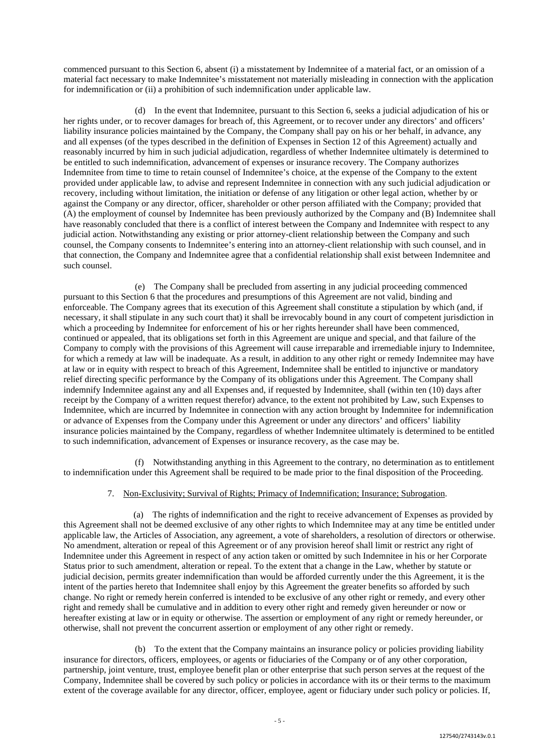commenced pursuant to this Section 6, absent (i) a misstatement by Indemnitee of a material fact, or an omission of a material fact necessary to make Indemnitee's misstatement not materially misleading in connection with the application for indemnification or (ii) a prohibition of such indemnification under applicable law.

(d) In the event that Indemnitee, pursuant to this Section 6, seeks a judicial adjudication of his or her rights under, or to recover damages for breach of, this Agreement, or to recover under any directors' and officers' liability insurance policies maintained by the Company, the Company shall pay on his or her behalf, in advance, any and all expenses (of the types described in the definition of Expenses in Section 12 of this Agreement) actually and reasonably incurred by him in such judicial adjudication, regardless of whether Indemnitee ultimately is determined to be entitled to such indemnification, advancement of expenses or insurance recovery. The Company authorizes Indemnitee from time to time to retain counsel of Indemnitee's choice, at the expense of the Company to the extent provided under applicable law, to advise and represent Indemnitee in connection with any such judicial adjudication or recovery, including without limitation, the initiation or defense of any litigation or other legal action, whether by or against the Company or any director, officer, shareholder or other person affiliated with the Company; provided that (A) the employment of counsel by Indemnitee has been previously authorized by the Company and (B) Indemnitee shall have reasonably concluded that there is a conflict of interest between the Company and Indemnitee with respect to any judicial action. Notwithstanding any existing or prior attorney-client relationship between the Company and such counsel, the Company consents to Indemnitee's entering into an attorney-client relationship with such counsel, and in that connection, the Company and Indemnitee agree that a confidential relationship shall exist between Indemnitee and such counsel.

(e) The Company shall be precluded from asserting in any judicial proceeding commenced pursuant to this Section 6 that the procedures and presumptions of this Agreement are not valid, binding and enforceable. The Company agrees that its execution of this Agreement shall constitute a stipulation by which (and, if necessary, it shall stipulate in any such court that) it shall be irrevocably bound in any court of competent jurisdiction in which a proceeding by Indemnitee for enforcement of his or her rights hereunder shall have been commenced, continued or appealed, that its obligations set forth in this Agreement are unique and special, and that failure of the Company to comply with the provisions of this Agreement will cause irreparable and irremediable injury to Indemnitee, for which a remedy at law will be inadequate. As a result, in addition to any other right or remedy Indemnitee may have at law or in equity with respect to breach of this Agreement, Indemnitee shall be entitled to injunctive or mandatory relief directing specific performance by the Company of its obligations under this Agreement. The Company shall indemnify Indemnitee against any and all Expenses and, if requested by Indemnitee, shall (within ten (10) days after receipt by the Company of a written request therefor) advance, to the extent not prohibited by Law, such Expenses to Indemnitee, which are incurred by Indemnitee in connection with any action brought by Indemnitee for indemnification or advance of Expenses from the Company under this Agreement or under any directors' and officers' liability insurance policies maintained by the Company, regardless of whether Indemnitee ultimately is determined to be entitled to such indemnification, advancement of Expenses or insurance recovery, as the case may be.

(f) Notwithstanding anything in this Agreement to the contrary, no determination as to entitlement to indemnification under this Agreement shall be required to be made prior to the final disposition of the Proceeding.

## 7. Non-Exclusivity; Survival of Rights; Primacy of Indemnification; Insurance; Subrogation.

(a) The rights of indemnification and the right to receive advancement of Expenses as provided by this Agreement shall not be deemed exclusive of any other rights to which Indemnitee may at any time be entitled under applicable law, the Articles of Association, any agreement, a vote of shareholders, a resolution of directors or otherwise. No amendment, alteration or repeal of this Agreement or of any provision hereof shall limit or restrict any right of Indemnitee under this Agreement in respect of any action taken or omitted by such Indemnitee in his or her Corporate Status prior to such amendment, alteration or repeal. To the extent that a change in the Law, whether by statute or judicial decision, permits greater indemnification than would be afforded currently under the this Agreement, it is the intent of the parties hereto that Indemnitee shall enjoy by this Agreement the greater benefits so afforded by such change. No right or remedy herein conferred is intended to be exclusive of any other right or remedy, and every other right and remedy shall be cumulative and in addition to every other right and remedy given hereunder or now or hereafter existing at law or in equity or otherwise. The assertion or employment of any right or remedy hereunder, or otherwise, shall not prevent the concurrent assertion or employment of any other right or remedy.

(b) To the extent that the Company maintains an insurance policy or policies providing liability insurance for directors, officers, employees, or agents or fiduciaries of the Company or of any other corporation, partnership, joint venture, trust, employee benefit plan or other enterprise that such person serves at the request of the Company, Indemnitee shall be covered by such policy or policies in accordance with its or their terms to the maximum extent of the coverage available for any director, officer, employee, agent or fiduciary under such policy or policies. If,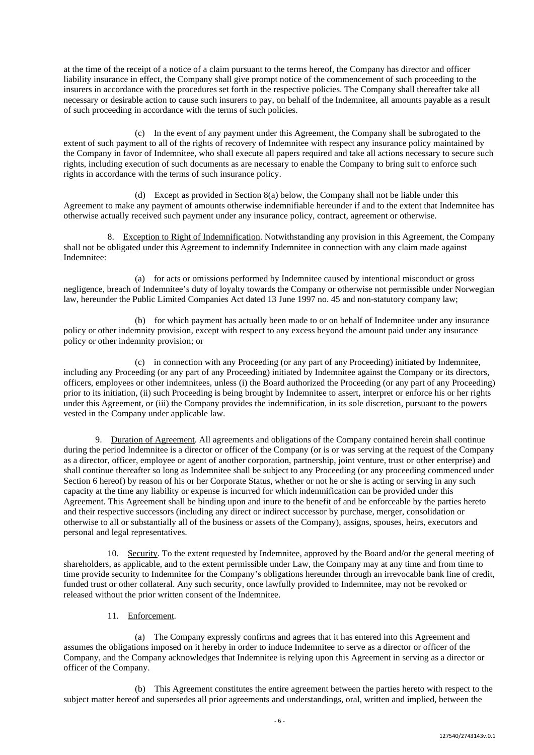at the time of the receipt of a notice of a claim pursuant to the terms hereof, the Company has director and officer liability insurance in effect, the Company shall give prompt notice of the commencement of such proceeding to the insurers in accordance with the procedures set forth in the respective policies. The Company shall thereafter take all necessary or desirable action to cause such insurers to pay, on behalf of the Indemnitee, all amounts payable as a result of such proceeding in accordance with the terms of such policies.

(c) In the event of any payment under this Agreement, the Company shall be subrogated to the extent of such payment to all of the rights of recovery of Indemnitee with respect any insurance policy maintained by the Company in favor of Indemnitee, who shall execute all papers required and take all actions necessary to secure such rights, including execution of such documents as are necessary to enable the Company to bring suit to enforce such rights in accordance with the terms of such insurance policy.

(d) Except as provided in Section 8(a) below, the Company shall not be liable under this Agreement to make any payment of amounts otherwise indemnifiable hereunder if and to the extent that Indemnitee has otherwise actually received such payment under any insurance policy, contract, agreement or otherwise.

8. Exception to Right of Indemnification. Notwithstanding any provision in this Agreement, the Company shall not be obligated under this Agreement to indemnify Indemnitee in connection with any claim made against Indemnitee:

(a) for acts or omissions performed by Indemnitee caused by intentional misconduct or gross negligence, breach of Indemnitee's duty of loyalty towards the Company or otherwise not permissible under Norwegian law, hereunder the Public Limited Companies Act dated 13 June 1997 no. 45 and non-statutory company law;

(b) for which payment has actually been made to or on behalf of Indemnitee under any insurance policy or other indemnity provision, except with respect to any excess beyond the amount paid under any insurance policy or other indemnity provision; or

(c) in connection with any Proceeding (or any part of any Proceeding) initiated by Indemnitee, including any Proceeding (or any part of any Proceeding) initiated by Indemnitee against the Company or its directors, officers, employees or other indemnitees, unless (i) the Board authorized the Proceeding (or any part of any Proceeding) prior to its initiation, (ii) such Proceeding is being brought by Indemnitee to assert, interpret or enforce his or her rights under this Agreement, or (iii) the Company provides the indemnification, in its sole discretion, pursuant to the powers vested in the Company under applicable law.

9. Duration of Agreement. All agreements and obligations of the Company contained herein shall continue during the period Indemnitee is a director or officer of the Company (or is or was serving at the request of the Company as a director, officer, employee or agent of another corporation, partnership, joint venture, trust or other enterprise) and shall continue thereafter so long as Indemnitee shall be subject to any Proceeding (or any proceeding commenced under Section 6 hereof) by reason of his or her Corporate Status, whether or not he or she is acting or serving in any such capacity at the time any liability or expense is incurred for which indemnification can be provided under this Agreement. This Agreement shall be binding upon and inure to the benefit of and be enforceable by the parties hereto and their respective successors (including any direct or indirect successor by purchase, merger, consolidation or otherwise to all or substantially all of the business or assets of the Company), assigns, spouses, heirs, executors and personal and legal representatives.

10. Security. To the extent requested by Indemnitee, approved by the Board and/or the general meeting of shareholders, as applicable, and to the extent permissible under Law, the Company may at any time and from time to time provide security to Indemnitee for the Company's obligations hereunder through an irrevocable bank line of credit, funded trust or other collateral. Any such security, once lawfully provided to Indemnitee, may not be revoked or released without the prior written consent of the Indemnitee.

11. Enforcement.

(a) The Company expressly confirms and agrees that it has entered into this Agreement and assumes the obligations imposed on it hereby in order to induce Indemnitee to serve as a director or officer of the Company, and the Company acknowledges that Indemnitee is relying upon this Agreement in serving as a director or officer of the Company.

(b) This Agreement constitutes the entire agreement between the parties hereto with respect to the subject matter hereof and supersedes all prior agreements and understandings, oral, written and implied, between the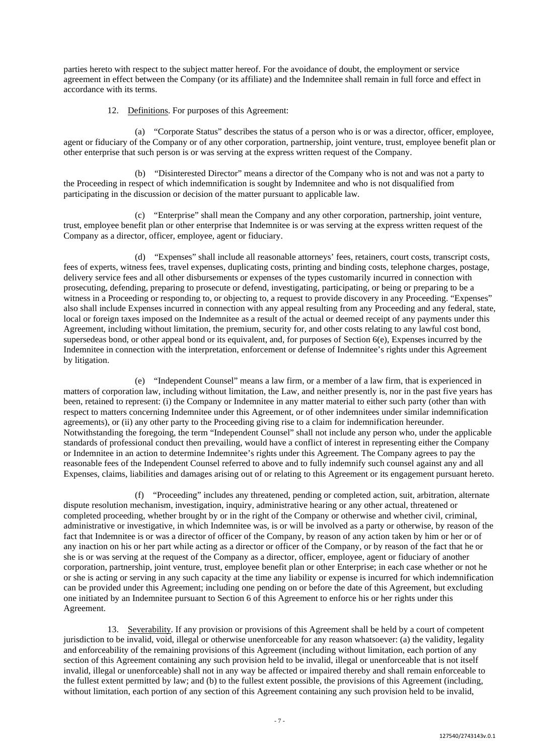parties hereto with respect to the subject matter hereof. For the avoidance of doubt, the employment or service agreement in effect between the Company (or its affiliate) and the Indemnitee shall remain in full force and effect in accordance with its terms.

12. Definitions. For purposes of this Agreement:

(a) "Corporate Status" describes the status of a person who is or was a director, officer, employee, agent or fiduciary of the Company or of any other corporation, partnership, joint venture, trust, employee benefit plan or other enterprise that such person is or was serving at the express written request of the Company.

(b) "Disinterested Director" means a director of the Company who is not and was not a party to the Proceeding in respect of which indemnification is sought by Indemnitee and who is not disqualified from participating in the discussion or decision of the matter pursuant to applicable law.

(c) "Enterprise" shall mean the Company and any other corporation, partnership, joint venture, trust, employee benefit plan or other enterprise that Indemnitee is or was serving at the express written request of the Company as a director, officer, employee, agent or fiduciary.

(d) "Expenses" shall include all reasonable attorneys' fees, retainers, court costs, transcript costs, fees of experts, witness fees, travel expenses, duplicating costs, printing and binding costs, telephone charges, postage, delivery service fees and all other disbursements or expenses of the types customarily incurred in connection with prosecuting, defending, preparing to prosecute or defend, investigating, participating, or being or preparing to be a witness in a Proceeding or responding to, or objecting to, a request to provide discovery in any Proceeding. "Expenses" also shall include Expenses incurred in connection with any appeal resulting from any Proceeding and any federal, state, local or foreign taxes imposed on the Indemnitee as a result of the actual or deemed receipt of any payments under this Agreement, including without limitation, the premium, security for, and other costs relating to any lawful cost bond, supersedeas bond, or other appeal bond or its equivalent, and, for purposes of Section 6(e), Expenses incurred by the Indemnitee in connection with the interpretation, enforcement or defense of Indemnitee's rights under this Agreement by litigation.

(e) "Independent Counsel" means a law firm, or a member of a law firm, that is experienced in matters of corporation law, including without limitation, the Law, and neither presently is, nor in the past five years has been, retained to represent: (i) the Company or Indemnitee in any matter material to either such party (other than with respect to matters concerning Indemnitee under this Agreement, or of other indemnitees under similar indemnification agreements), or (ii) any other party to the Proceeding giving rise to a claim for indemnification hereunder. Notwithstanding the foregoing, the term "Independent Counsel" shall not include any person who, under the applicable standards of professional conduct then prevailing, would have a conflict of interest in representing either the Company or Indemnitee in an action to determine Indemnitee's rights under this Agreement. The Company agrees to pay the reasonable fees of the Independent Counsel referred to above and to fully indemnify such counsel against any and all Expenses, claims, liabilities and damages arising out of or relating to this Agreement or its engagement pursuant hereto.

(f) "Proceeding" includes any threatened, pending or completed action, suit, arbitration, alternate dispute resolution mechanism, investigation, inquiry, administrative hearing or any other actual, threatened or completed proceeding, whether brought by or in the right of the Company or otherwise and whether civil, criminal, administrative or investigative, in which Indemnitee was, is or will be involved as a party or otherwise, by reason of the fact that Indemnitee is or was a director of officer of the Company, by reason of any action taken by him or her or of any inaction on his or her part while acting as a director or officer of the Company, or by reason of the fact that he or she is or was serving at the request of the Company as a director, officer, employee, agent or fiduciary of another corporation, partnership, joint venture, trust, employee benefit plan or other Enterprise; in each case whether or not he or she is acting or serving in any such capacity at the time any liability or expense is incurred for which indemnification can be provided under this Agreement; including one pending on or before the date of this Agreement, but excluding one initiated by an Indemnitee pursuant to Section 6 of this Agreement to enforce his or her rights under this Agreement.

13. Severability. If any provision or provisions of this Agreement shall be held by a court of competent jurisdiction to be invalid, void, illegal or otherwise unenforceable for any reason whatsoever: (a) the validity, legality and enforceability of the remaining provisions of this Agreement (including without limitation, each portion of any section of this Agreement containing any such provision held to be invalid, illegal or unenforceable that is not itself invalid, illegal or unenforceable) shall not in any way be affected or impaired thereby and shall remain enforceable to the fullest extent permitted by law; and (b) to the fullest extent possible, the provisions of this Agreement (including, without limitation, each portion of any section of this Agreement containing any such provision held to be invalid,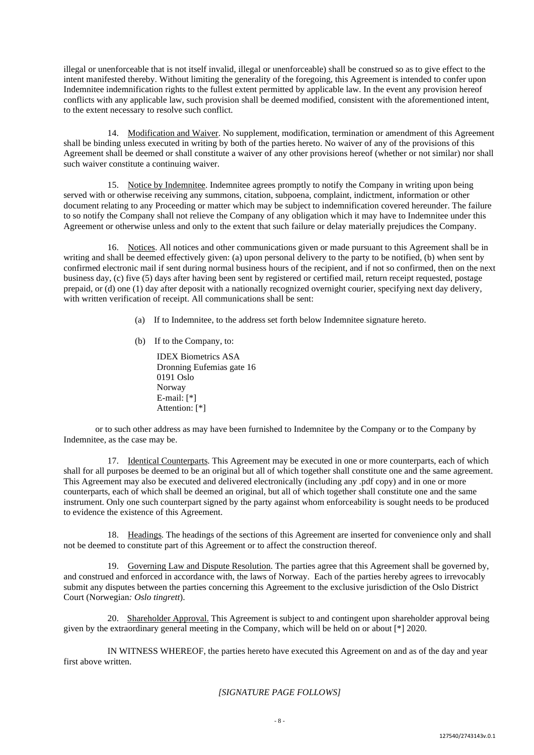illegal or unenforceable that is not itself invalid, illegal or unenforceable) shall be construed so as to give effect to the intent manifested thereby. Without limiting the generality of the foregoing, this Agreement is intended to confer upon Indemnitee indemnification rights to the fullest extent permitted by applicable law. In the event any provision hereof conflicts with any applicable law, such provision shall be deemed modified, consistent with the aforementioned intent, to the extent necessary to resolve such conflict.

14. Modification and Waiver. No supplement, modification, termination or amendment of this Agreement shall be binding unless executed in writing by both of the parties hereto. No waiver of any of the provisions of this Agreement shall be deemed or shall constitute a waiver of any other provisions hereof (whether or not similar) nor shall such waiver constitute a continuing waiver.

15. Notice by Indemnitee. Indemnitee agrees promptly to notify the Company in writing upon being served with or otherwise receiving any summons, citation, subpoena, complaint, indictment, information or other document relating to any Proceeding or matter which may be subject to indemnification covered hereunder. The failure to so notify the Company shall not relieve the Company of any obligation which it may have to Indemnitee under this Agreement or otherwise unless and only to the extent that such failure or delay materially prejudices the Company.

16. Notices. All notices and other communications given or made pursuant to this Agreement shall be in writing and shall be deemed effectively given: (a) upon personal delivery to the party to be notified, (b) when sent by confirmed electronic mail if sent during normal business hours of the recipient, and if not so confirmed, then on the next business day, (c) five (5) days after having been sent by registered or certified mail, return receipt requested, postage prepaid, or (d) one (1) day after deposit with a nationally recognized overnight courier, specifying next day delivery, with written verification of receipt. All communications shall be sent:

- (a) If to Indemnitee, to the address set forth below Indemnitee signature hereto.
- (b) If to the Company, to:

IDEX Biometrics ASA Dronning Eufemias gate 16 0191 Oslo Norway E-mail: [\*] Attention: [\*]

or to such other address as may have been furnished to Indemnitee by the Company or to the Company by Indemnitee, as the case may be.

17. Identical Counterparts. This Agreement may be executed in one or more counterparts, each of which shall for all purposes be deemed to be an original but all of which together shall constitute one and the same agreement. This Agreement may also be executed and delivered electronically (including any .pdf copy) and in one or more counterparts, each of which shall be deemed an original, but all of which together shall constitute one and the same instrument. Only one such counterpart signed by the party against whom enforceability is sought needs to be produced to evidence the existence of this Agreement.

18. Headings. The headings of the sections of this Agreement are inserted for convenience only and shall not be deemed to constitute part of this Agreement or to affect the construction thereof.

19. Governing Law and Dispute Resolution. The parties agree that this Agreement shall be governed by, and construed and enforced in accordance with, the laws of Norway. Each of the parties hereby agrees to irrevocably submit any disputes between the parties concerning this Agreement to the exclusive jurisdiction of the Oslo District Court (Norwegian*: Oslo tingrett*).

20. Shareholder Approval. This Agreement is subject to and contingent upon shareholder approval being given by the extraordinary general meeting in the Company, which will be held on or about [\*] 2020.

IN WITNESS WHEREOF, the parties hereto have executed this Agreement on and as of the day and year first above written.

# *[SIGNATURE PAGE FOLLOWS]*